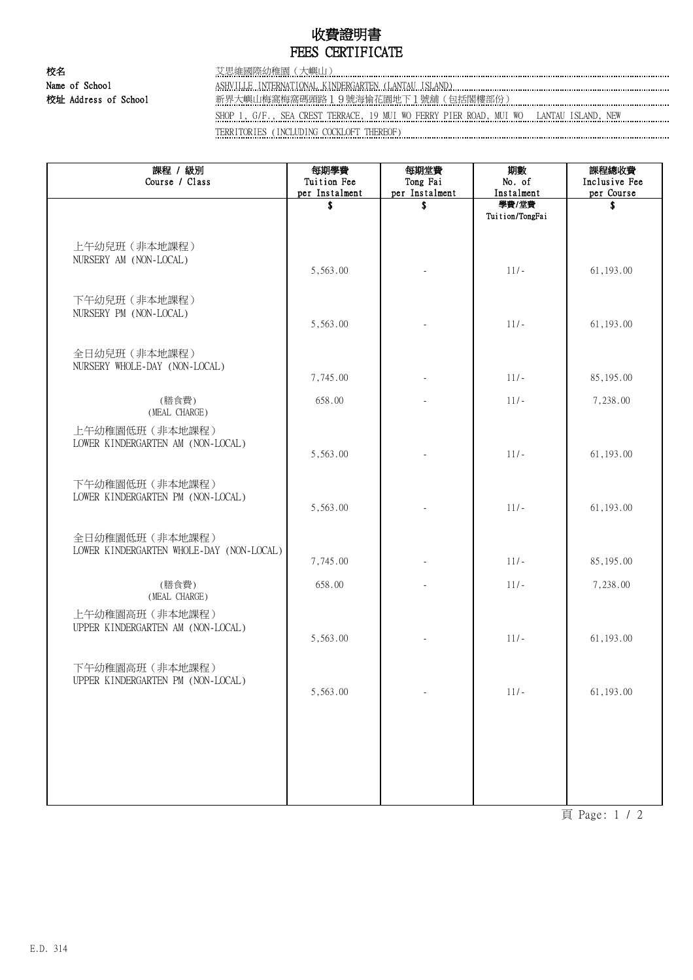## 收費證明書 FEES CERTIFICATE

校名 艾思維國際幼稚園(大嶼山) Name of School ASHVILLE INTERNATIONAL KINDERGARTEN (LANTAU ISLAND) 校址 Address of School **with the School 和**界大嶼山梅窩梅窩碼頭路19號海愉花園地下1號舖(包括閣樓部份) **with the School** and School SHOP 1, G/F., SEA CREST TERRACE, 19 MUI WO FERRY PIER ROAD, MUI WO LANTAU ISLAND, NEW TERRITORIES (INCLUDING COCKLOFT THEREOF)

| 課程 / 級別<br>Course / Class                                   | 每期學費<br>Tuition Fee | 每期堂費<br>Tong Fai | 期數<br>No. of             | 課程總收費<br>Inclusive Fee |
|-------------------------------------------------------------|---------------------|------------------|--------------------------|------------------------|
|                                                             | per Instalment      | per Instalment   | Instalment               | per Course             |
|                                                             | \$                  | \$               | 學費/堂費<br>Tuition/TongFai | \$                     |
|                                                             |                     |                  |                          |                        |
| 上午幼兒班 (非本地課程)<br>NURSERY AM (NON-LOCAL)                     |                     |                  |                          |                        |
|                                                             | 5,563.00            |                  | $11/-$                   | 61, 193.00             |
| 下午幼兒班 (非本地課程)<br>NURSERY PM (NON-LOCAL)                     | 5,563.00            |                  | $11/-$                   | 61, 193.00             |
|                                                             |                     |                  |                          |                        |
| 全日幼兒班 (非本地課程)<br>NURSERY WHOLE-DAY (NON-LOCAL)              |                     |                  | $11/-$                   |                        |
|                                                             | 7,745.00            |                  |                          | 85,195.00              |
| (膳食費)<br>(MEAL CHARGE)                                      | 658.00              |                  | $11/-$                   | 7,238.00               |
| 上午幼稚園低班 (非本地課程)<br>LOWER KINDERGARTEN AM (NON-LOCAL)        | 5,563.00            |                  | $11/-$                   | 61, 193.00             |
| 下午幼稚園低班 (非本地課程)                                             |                     |                  |                          |                        |
| LOWER KINDERGARTEN PM (NON-LOCAL)                           | 5,563.00            |                  | $11/-$                   | 61, 193.00             |
| 全日幼稚園低班 (非本地課程)<br>LOWER KINDERGARTEN WHOLE-DAY (NON-LOCAL) |                     |                  |                          |                        |
|                                                             | 7,745.00            |                  | $11/-$                   | 85,195.00              |
| (膳食費)<br>(MEAL CHARGE)                                      | 658.00              |                  | $11/-$                   | 7,238.00               |
| 上午幼稚園高班 (非本地課程)                                             |                     |                  |                          |                        |
| UPPER KINDERGARTEN AM (NON-LOCAL)                           | 5,563.00            |                  | $11/-$                   | 61, 193.00             |
| 下午幼稚園高班 (非本地課程)<br>UPPER KINDERGARTEN PM (NON-LOCAL)        |                     |                  |                          |                        |
|                                                             | 5,563.00            |                  | $11/-$                   | 61,193.00              |
|                                                             |                     |                  |                          |                        |
|                                                             |                     |                  |                          |                        |
|                                                             |                     |                  |                          |                        |

頁 Page: 1 / 2